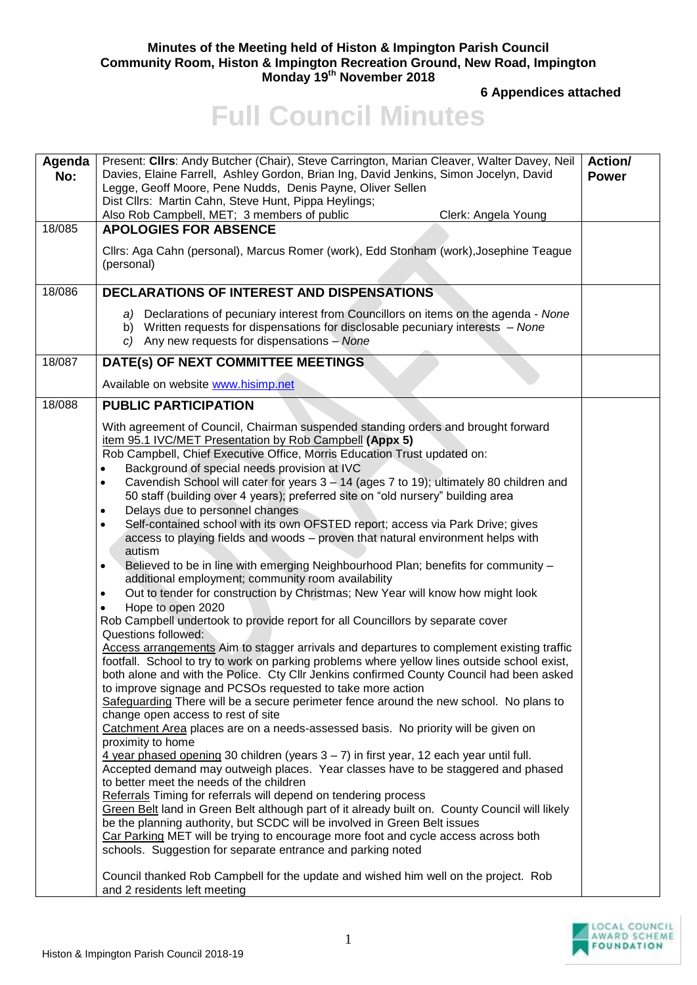## **Minutes of the Meeting held of Histon & Impington Parish Council Community Room, Histon & Impington Recreation Ground, New Road, Impington Monday 19 th November 2018**

**6 Appendices attached**

## **Full Council Minutes**

| Cllrs: Aga Cahn (personal), Marcus Romer (work), Edd Stonham (work), Josephine Teague<br>(personal)<br><b>DECLARATIONS OF INTEREST AND DISPENSATIONS</b><br>18/086<br>a) Declarations of pecuniary interest from Councillors on items on the agenda - None<br>b) Written requests for dispensations for disclosable pecuniary interests - None<br>c) Any new requests for dispensations $-$ None<br>18/087<br>DATE(s) OF NEXT COMMITTEE MEETINGS<br>Available on website www.hisimp.net<br>18/088<br><b>PUBLIC PARTICIPATION</b><br>With agreement of Council, Chairman suspended standing orders and brought forward<br>item 95.1 IVC/MET Presentation by Rob Campbell (Appx 5)<br>Rob Campbell, Chief Executive Office, Morris Education Trust updated on:<br>Background of special needs provision at IVC<br>Cavendish School will cater for years 3 - 14 (ages 7 to 19); ultimately 80 children and<br>$\bullet$<br>50 staff (building over 4 years); preferred site on "old nursery" building area<br>Delays due to personnel changes<br>$\bullet$<br>Self-contained school with its own OFSTED report; access via Park Drive; gives<br>$\bullet$<br>access to playing fields and woods - proven that natural environment helps with<br>autism<br>Believed to be in line with emerging Neighbourhood Plan; benefits for community -<br>$\bullet$<br>additional employment; community room availability<br>Out to tender for construction by Christmas; New Year will know how might look<br>$\bullet$<br>Hope to open 2020<br>Rob Campbell undertook to provide report for all Councillors by separate cover<br>Questions followed:<br>Access arrangements Aim to stagger arrivals and departures to complement existing traffic<br>footfall. School to try to work on parking problems where yellow lines outside school exist,<br>both alone and with the Police. Cty Cllr Jenkins confirmed County Council had been asked<br>to improve signage and PCSOs requested to take more action<br>Safeguarding There will be a secure perimeter fence around the new school. No plans to<br>change open access to rest of site<br>Catchment Area places are on a needs-assessed basis. No priority will be given on<br>proximity to home<br>4 year phased opening 30 children (years $3 - 7$ ) in first year, 12 each year until full.<br>Accepted demand may outweigh places. Year classes have to be staggered and phased<br>to better meet the needs of the children<br>Referrals Timing for referrals will depend on tendering process<br>Green Belt land in Green Belt although part of it already built on. County Council will likely<br>be the planning authority, but SCDC will be involved in Green Belt issues<br>Car Parking MET will be trying to encourage more foot and cycle access across both | Agenda<br>No: | Present: Cllrs: Andy Butcher (Chair), Steve Carrington, Marian Cleaver, Walter Davey, Neil<br>Davies, Elaine Farrell, Ashley Gordon, Brian Ing, David Jenkins, Simon Jocelyn, David<br>Legge, Geoff Moore, Pene Nudds, Denis Payne, Oliver Sellen<br>Dist Cllrs: Martin Cahn, Steve Hunt, Pippa Heylings;<br>Also Rob Campbell, MET; 3 members of public<br>Clerk: Angela Young | <b>Action/</b><br><b>Power</b> |
|------------------------------------------------------------------------------------------------------------------------------------------------------------------------------------------------------------------------------------------------------------------------------------------------------------------------------------------------------------------------------------------------------------------------------------------------------------------------------------------------------------------------------------------------------------------------------------------------------------------------------------------------------------------------------------------------------------------------------------------------------------------------------------------------------------------------------------------------------------------------------------------------------------------------------------------------------------------------------------------------------------------------------------------------------------------------------------------------------------------------------------------------------------------------------------------------------------------------------------------------------------------------------------------------------------------------------------------------------------------------------------------------------------------------------------------------------------------------------------------------------------------------------------------------------------------------------------------------------------------------------------------------------------------------------------------------------------------------------------------------------------------------------------------------------------------------------------------------------------------------------------------------------------------------------------------------------------------------------------------------------------------------------------------------------------------------------------------------------------------------------------------------------------------------------------------------------------------------------------------------------------------------------------------------------------------------------------------------------------------------------------------------------------------------------------------------------------------------------------------------------------------------------------------------------------------------------------------------------------------------------------------------------------------------------------------------------------------------------------------------------------------------------------------------------------------|---------------|---------------------------------------------------------------------------------------------------------------------------------------------------------------------------------------------------------------------------------------------------------------------------------------------------------------------------------------------------------------------------------|--------------------------------|
|                                                                                                                                                                                                                                                                                                                                                                                                                                                                                                                                                                                                                                                                                                                                                                                                                                                                                                                                                                                                                                                                                                                                                                                                                                                                                                                                                                                                                                                                                                                                                                                                                                                                                                                                                                                                                                                                                                                                                                                                                                                                                                                                                                                                                                                                                                                                                                                                                                                                                                                                                                                                                                                                                                                                                                                                                  | 18/085        | <b>APOLOGIES FOR ABSENCE</b>                                                                                                                                                                                                                                                                                                                                                    |                                |
|                                                                                                                                                                                                                                                                                                                                                                                                                                                                                                                                                                                                                                                                                                                                                                                                                                                                                                                                                                                                                                                                                                                                                                                                                                                                                                                                                                                                                                                                                                                                                                                                                                                                                                                                                                                                                                                                                                                                                                                                                                                                                                                                                                                                                                                                                                                                                                                                                                                                                                                                                                                                                                                                                                                                                                                                                  |               |                                                                                                                                                                                                                                                                                                                                                                                 |                                |
|                                                                                                                                                                                                                                                                                                                                                                                                                                                                                                                                                                                                                                                                                                                                                                                                                                                                                                                                                                                                                                                                                                                                                                                                                                                                                                                                                                                                                                                                                                                                                                                                                                                                                                                                                                                                                                                                                                                                                                                                                                                                                                                                                                                                                                                                                                                                                                                                                                                                                                                                                                                                                                                                                                                                                                                                                  |               |                                                                                                                                                                                                                                                                                                                                                                                 |                                |
|                                                                                                                                                                                                                                                                                                                                                                                                                                                                                                                                                                                                                                                                                                                                                                                                                                                                                                                                                                                                                                                                                                                                                                                                                                                                                                                                                                                                                                                                                                                                                                                                                                                                                                                                                                                                                                                                                                                                                                                                                                                                                                                                                                                                                                                                                                                                                                                                                                                                                                                                                                                                                                                                                                                                                                                                                  |               |                                                                                                                                                                                                                                                                                                                                                                                 |                                |
|                                                                                                                                                                                                                                                                                                                                                                                                                                                                                                                                                                                                                                                                                                                                                                                                                                                                                                                                                                                                                                                                                                                                                                                                                                                                                                                                                                                                                                                                                                                                                                                                                                                                                                                                                                                                                                                                                                                                                                                                                                                                                                                                                                                                                                                                                                                                                                                                                                                                                                                                                                                                                                                                                                                                                                                                                  |               |                                                                                                                                                                                                                                                                                                                                                                                 |                                |
|                                                                                                                                                                                                                                                                                                                                                                                                                                                                                                                                                                                                                                                                                                                                                                                                                                                                                                                                                                                                                                                                                                                                                                                                                                                                                                                                                                                                                                                                                                                                                                                                                                                                                                                                                                                                                                                                                                                                                                                                                                                                                                                                                                                                                                                                                                                                                                                                                                                                                                                                                                                                                                                                                                                                                                                                                  |               |                                                                                                                                                                                                                                                                                                                                                                                 |                                |
|                                                                                                                                                                                                                                                                                                                                                                                                                                                                                                                                                                                                                                                                                                                                                                                                                                                                                                                                                                                                                                                                                                                                                                                                                                                                                                                                                                                                                                                                                                                                                                                                                                                                                                                                                                                                                                                                                                                                                                                                                                                                                                                                                                                                                                                                                                                                                                                                                                                                                                                                                                                                                                                                                                                                                                                                                  |               |                                                                                                                                                                                                                                                                                                                                                                                 |                                |
| Council thanked Rob Campbell for the update and wished him well on the project. Rob<br>and 2 residents left meeting                                                                                                                                                                                                                                                                                                                                                                                                                                                                                                                                                                                                                                                                                                                                                                                                                                                                                                                                                                                                                                                                                                                                                                                                                                                                                                                                                                                                                                                                                                                                                                                                                                                                                                                                                                                                                                                                                                                                                                                                                                                                                                                                                                                                                                                                                                                                                                                                                                                                                                                                                                                                                                                                                              |               | schools. Suggestion for separate entrance and parking noted                                                                                                                                                                                                                                                                                                                     |                                |

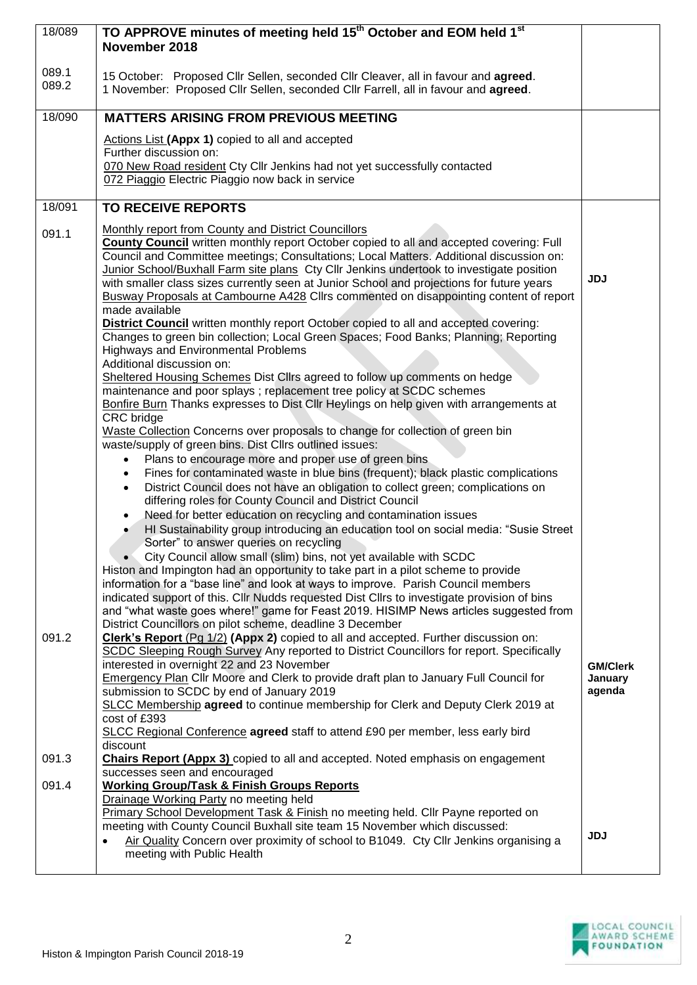| 18/089         | TO APPROVE minutes of meeting held 15 <sup>th</sup> October and EOM held 1 <sup>st</sup><br>November 2018                                                                          |                            |
|----------------|------------------------------------------------------------------------------------------------------------------------------------------------------------------------------------|----------------------------|
|                |                                                                                                                                                                                    |                            |
| 089.1<br>089.2 | 15 October: Proposed Cllr Sellen, seconded Cllr Cleaver, all in favour and agreed.<br>1 November: Proposed Cllr Sellen, seconded Cllr Farrell, all in favour and agreed.           |                            |
| 18/090         | <b>MATTERS ARISING FROM PREVIOUS MEETING</b>                                                                                                                                       |                            |
|                | Actions List (Appx 1) copied to all and accepted                                                                                                                                   |                            |
|                | Further discussion on:<br>070 New Road resident Cty Cllr Jenkins had not yet successfully contacted                                                                                |                            |
|                | 072 Piaggio Electric Piaggio now back in service                                                                                                                                   |                            |
| 18/091         | <b>TO RECEIVE REPORTS</b>                                                                                                                                                          |                            |
| 091.1          | Monthly report from County and District Councillors                                                                                                                                |                            |
|                | County Council written monthly report October copied to all and accepted covering: Full<br>Council and Committee meetings; Consultations; Local Matters. Additional discussion on: |                            |
|                | Junior School/Buxhall Farm site plans Cty Cllr Jenkins undertook to investigate position                                                                                           |                            |
|                | with smaller class sizes currently seen at Junior School and projections for future years                                                                                          | <b>JDJ</b>                 |
|                | Busway Proposals at Cambourne A428 Cllrs commented on disappointing content of report<br>made available                                                                            |                            |
|                | <b>District Council</b> written monthly report October copied to all and accepted covering:                                                                                        |                            |
|                | Changes to green bin collection; Local Green Spaces; Food Banks; Planning; Reporting                                                                                               |                            |
|                | <b>Highways and Environmental Problems</b><br>Additional discussion on:                                                                                                            |                            |
|                | Sheltered Housing Schemes Dist Cllrs agreed to follow up comments on hedge                                                                                                         |                            |
|                | maintenance and poor splays ; replacement tree policy at SCDC schemes                                                                                                              |                            |
|                | Bonfire Burn Thanks expresses to Dist Cllr Heylings on help given with arrangements at<br>CRC bridge                                                                               |                            |
|                | Waste Collection Concerns over proposals to change for collection of green bin                                                                                                     |                            |
|                | waste/supply of green bins. Dist Cllrs outlined issues:                                                                                                                            |                            |
|                | Plans to encourage more and proper use of green bins<br>$\bullet$<br>Fines for contaminated waste in blue bins (frequent); black plastic complications<br>$\bullet$                |                            |
|                | District Council does not have an obligation to collect green; complications on<br>$\bullet$                                                                                       |                            |
|                | differing roles for County Council and District Council<br>Need for better education on recycling and contamination issues                                                         |                            |
|                | $\bullet$<br>HI Sustainability group introducing an education tool on social media: "Susie Street                                                                                  |                            |
|                | Sorter" to answer queries on recycling                                                                                                                                             |                            |
|                | • City Council allow small (slim) bins, not yet available with SCDC<br>Histon and Impington had an opportunity to take part in a pilot scheme to provide                           |                            |
|                | information for a "base line" and look at ways to improve. Parish Council members                                                                                                  |                            |
|                | indicated support of this. Cllr Nudds requested Dist Cllrs to investigate provision of bins                                                                                        |                            |
|                | and "what waste goes where!" game for Feast 2019. HISIMP News articles suggested from<br>District Councillors on pilot scheme, deadline 3 December                                 |                            |
| 091.2          | Clerk's Report (Pg 1/2) (Appx 2) copied to all and accepted. Further discussion on:                                                                                                |                            |
|                | SCDC Sleeping Rough Survey Any reported to District Councillors for report. Specifically                                                                                           |                            |
|                | interested in overnight 22 and 23 November<br>Emergency Plan Cllr Moore and Clerk to provide draft plan to January Full Council for                                                | <b>GM/Clerk</b><br>January |
|                | submission to SCDC by end of January 2019                                                                                                                                          | agenda                     |
|                | SLCC Membership agreed to continue membership for Clerk and Deputy Clerk 2019 at<br>cost of £393                                                                                   |                            |
|                | SLCC Regional Conference agreed staff to attend £90 per member, less early bird                                                                                                    |                            |
|                | discount                                                                                                                                                                           |                            |
| 091.3          | <b>Chairs Report (Appx 3)</b> copied to all and accepted. Noted emphasis on engagement<br>successes seen and encouraged                                                            |                            |
| 091.4          | <b>Working Group/Task &amp; Finish Groups Reports</b>                                                                                                                              |                            |
|                | Drainage Working Party no meeting held                                                                                                                                             |                            |
|                | Primary School Development Task & Finish no meeting held. Cllr Payne reported on<br>meeting with County Council Buxhall site team 15 November which discussed:                     |                            |
|                | Air Quality Concern over proximity of school to B1049. Cty Cllr Jenkins organising a                                                                                               | <b>JDJ</b>                 |
|                | meeting with Public Health                                                                                                                                                         |                            |

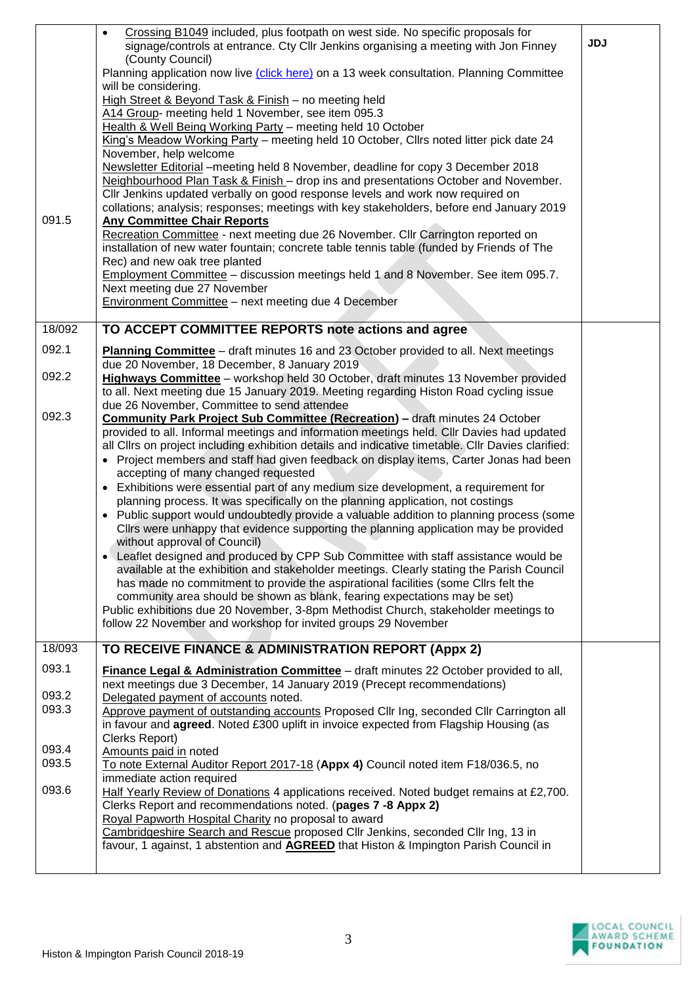|                | Crossing B1049 included, plus footpath on west side. No specific proposals for<br>$\bullet$<br>signage/controls at entrance. Cty Cllr Jenkins organising a meeting with Jon Finney<br>(County Council)<br>Planning application now live (click here) on a 13 week consultation. Planning Committee<br>will be considering.<br>High Street & Beyond Task & Finish - no meeting held<br>A14 Group- meeting held 1 November, see item 095.3<br>Health & Well Being Working Party - meeting held 10 October<br>King's Meadow Working Party - meeting held 10 October, Cllrs noted litter pick date 24<br>November, help welcome<br>Newsletter Editorial -meeting held 8 November, deadline for copy 3 December 2018<br>Neighbourhood Plan Task & Finish - drop ins and presentations October and November.                                                                                                                                                                                                                                                                                                                                                                                                                                                                                                                                                                              | <b>JDJ</b> |
|----------------|-------------------------------------------------------------------------------------------------------------------------------------------------------------------------------------------------------------------------------------------------------------------------------------------------------------------------------------------------------------------------------------------------------------------------------------------------------------------------------------------------------------------------------------------------------------------------------------------------------------------------------------------------------------------------------------------------------------------------------------------------------------------------------------------------------------------------------------------------------------------------------------------------------------------------------------------------------------------------------------------------------------------------------------------------------------------------------------------------------------------------------------------------------------------------------------------------------------------------------------------------------------------------------------------------------------------------------------------------------------------------------------|------------|
| 091.5          | CIIr Jenkins updated verbally on good response levels and work now required on<br>collations; analysis; responses; meetings with key stakeholders, before end January 2019<br><b>Any Committee Chair Reports</b><br>Recreation Committee - next meeting due 26 November. Cllr Carrington reported on<br>installation of new water fountain; concrete table tennis table (funded by Friends of The                                                                                                                                                                                                                                                                                                                                                                                                                                                                                                                                                                                                                                                                                                                                                                                                                                                                                                                                                                                   |            |
|                | Rec) and new oak tree planted<br>Employment Committee - discussion meetings held 1 and 8 November. See item 095.7.<br>Next meeting due 27 November<br>Environment Committee - next meeting due 4 December                                                                                                                                                                                                                                                                                                                                                                                                                                                                                                                                                                                                                                                                                                                                                                                                                                                                                                                                                                                                                                                                                                                                                                           |            |
| 18/092         | TO ACCEPT COMMITTEE REPORTS note actions and agree                                                                                                                                                                                                                                                                                                                                                                                                                                                                                                                                                                                                                                                                                                                                                                                                                                                                                                                                                                                                                                                                                                                                                                                                                                                                                                                                  |            |
| 092.1          | Planning Committee - draft minutes 16 and 23 October provided to all. Next meetings                                                                                                                                                                                                                                                                                                                                                                                                                                                                                                                                                                                                                                                                                                                                                                                                                                                                                                                                                                                                                                                                                                                                                                                                                                                                                                 |            |
| 092.2          | due 20 November, 18 December, 8 January 2019<br>Highways Committee - workshop held 30 October, draft minutes 13 November provided<br>to all. Next meeting due 15 January 2019. Meeting regarding Histon Road cycling issue                                                                                                                                                                                                                                                                                                                                                                                                                                                                                                                                                                                                                                                                                                                                                                                                                                                                                                                                                                                                                                                                                                                                                          |            |
| 092.3          | due 26 November, Committee to send attendee<br><b>Community Park Project Sub Committee (Recreation) - draft minutes 24 October</b><br>provided to all. Informal meetings and information meetings held. Cllr Davies had updated<br>all ClIrs on project including exhibition details and indicative timetable. ClIr Davies clarified:<br>• Project members and staff had given feedback on display items, Carter Jonas had been<br>accepting of many changed requested<br>• Exhibitions were essential part of any medium size development, a requirement for<br>planning process. It was specifically on the planning application, not costings<br>• Public support would undoubtedly provide a valuable addition to planning process (some<br>Cllrs were unhappy that evidence supporting the planning application may be provided<br>without approval of Council)<br>• Leaflet designed and produced by CPP Sub Committee with staff assistance would be<br>available at the exhibition and stakeholder meetings. Clearly stating the Parish Council<br>has made no commitment to provide the aspirational facilities (some Cllrs felt the<br>community area should be shown as blank, fearing expectations may be set)<br>Public exhibitions due 20 November, 3-8pm Methodist Church, stakeholder meetings to<br>follow 22 November and workshop for invited groups 29 November |            |
| 18/093         | TO RECEIVE FINANCE & ADMINISTRATION REPORT (Appx 2)                                                                                                                                                                                                                                                                                                                                                                                                                                                                                                                                                                                                                                                                                                                                                                                                                                                                                                                                                                                                                                                                                                                                                                                                                                                                                                                                 |            |
| 093.1          | Finance Legal & Administration Committee - draft minutes 22 October provided to all,<br>next meetings due 3 December, 14 January 2019 (Precept recommendations)                                                                                                                                                                                                                                                                                                                                                                                                                                                                                                                                                                                                                                                                                                                                                                                                                                                                                                                                                                                                                                                                                                                                                                                                                     |            |
| 093.2<br>093.3 | Delegated payment of accounts noted.<br>Approve payment of outstanding accounts Proposed Cllr Ing, seconded Cllr Carrington all<br>in favour and <b>agreed</b> . Noted £300 uplift in invoice expected from Flagship Housing (as<br>Clerks Report)                                                                                                                                                                                                                                                                                                                                                                                                                                                                                                                                                                                                                                                                                                                                                                                                                                                                                                                                                                                                                                                                                                                                  |            |
| 093.4<br>093.5 | Amounts paid in noted<br>To note External Auditor Report 2017-18 (Appx 4) Council noted item F18/036.5, no                                                                                                                                                                                                                                                                                                                                                                                                                                                                                                                                                                                                                                                                                                                                                                                                                                                                                                                                                                                                                                                                                                                                                                                                                                                                          |            |
|                | immediate action required                                                                                                                                                                                                                                                                                                                                                                                                                                                                                                                                                                                                                                                                                                                                                                                                                                                                                                                                                                                                                                                                                                                                                                                                                                                                                                                                                           |            |
| 093.6          | Half Yearly Review of Donations 4 applications received. Noted budget remains at £2,700.<br>Clerks Report and recommendations noted. (pages 7 -8 Appx 2)<br>Royal Papworth Hospital Charity no proposal to award<br>Cambridgeshire Search and Rescue proposed Cllr Jenkins, seconded Cllr Ing, 13 in<br>favour, 1 against, 1 abstention and <b>AGREED</b> that Histon & Impington Parish Council in                                                                                                                                                                                                                                                                                                                                                                                                                                                                                                                                                                                                                                                                                                                                                                                                                                                                                                                                                                                 |            |

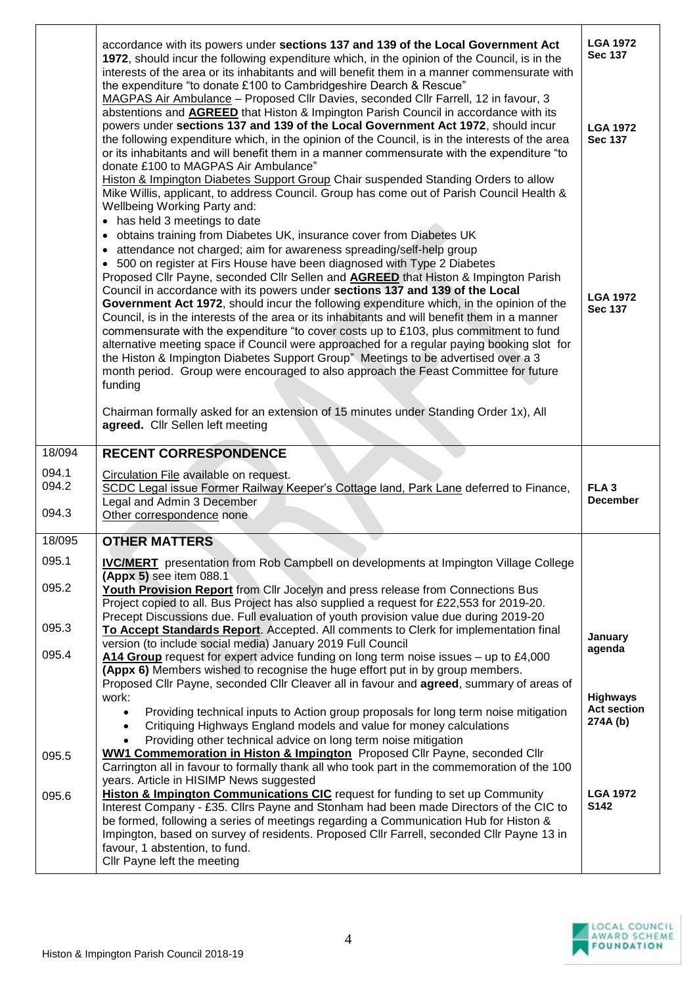|                         | accordance with its powers under sections 137 and 139 of the Local Government Act<br>1972, should incur the following expenditure which, in the opinion of the Council, is in the<br>interests of the area or its inhabitants and will benefit them in a manner commensurate with<br>the expenditure "to donate £100 to Cambridgeshire Dearch & Rescue"<br>MAGPAS Air Ambulance - Proposed Cllr Davies, seconded Cllr Farrell, 12 in favour, 3<br>abstentions and <b>AGREED</b> that Histon & Impington Parish Council in accordance with its<br>powers under sections 137 and 139 of the Local Government Act 1972, should incur<br>the following expenditure which, in the opinion of the Council, is in the interests of the area<br>or its inhabitants and will benefit them in a manner commensurate with the expenditure "to<br>donate £100 to MAGPAS Air Ambulance"<br>Histon & Impington Diabetes Support Group Chair suspended Standing Orders to allow<br>Mike Willis, applicant, to address Council. Group has come out of Parish Council Health &<br>Wellbeing Working Party and: | <b>LGA 1972</b><br><b>Sec 137</b><br><b>LGA 1972</b><br><b>Sec 137</b> |
|-------------------------|-----------------------------------------------------------------------------------------------------------------------------------------------------------------------------------------------------------------------------------------------------------------------------------------------------------------------------------------------------------------------------------------------------------------------------------------------------------------------------------------------------------------------------------------------------------------------------------------------------------------------------------------------------------------------------------------------------------------------------------------------------------------------------------------------------------------------------------------------------------------------------------------------------------------------------------------------------------------------------------------------------------------------------------------------------------------------------------------------|------------------------------------------------------------------------|
|                         | • has held 3 meetings to date<br>• obtains training from Diabetes UK, insurance cover from Diabetes UK<br>• attendance not charged; aim for awareness spreading/self-help group<br>• 500 on register at Firs House have been diagnosed with Type 2 Diabetes<br>Proposed Cllr Payne, seconded Cllr Sellen and AGREED that Histon & Impington Parish<br>Council in accordance with its powers under sections 137 and 139 of the Local<br>Government Act 1972, should incur the following expenditure which, in the opinion of the<br>Council, is in the interests of the area or its inhabitants and will benefit them in a manner<br>commensurate with the expenditure "to cover costs up to £103, plus commitment to fund<br>alternative meeting space if Council were approached for a regular paying booking slot for<br>the Histon & Impington Diabetes Support Group" Meetings to be advertised over a 3<br>month period. Group were encouraged to also approach the Feast Committee for future<br>funding                                                                                | <b>LGA 1972</b><br><b>Sec 137</b>                                      |
|                         | Chairman formally asked for an extension of 15 minutes under Standing Order 1x), All<br>agreed. Cllr Sellen left meeting                                                                                                                                                                                                                                                                                                                                                                                                                                                                                                                                                                                                                                                                                                                                                                                                                                                                                                                                                                      |                                                                        |
| 18/094                  | <b>RECENT CORRESPONDENCE</b>                                                                                                                                                                                                                                                                                                                                                                                                                                                                                                                                                                                                                                                                                                                                                                                                                                                                                                                                                                                                                                                                  |                                                                        |
| 094.1<br>094.2<br>094.3 | Circulation File available on request.<br>SCDC Legal issue Former Railway Keeper's Cottage land, Park Lane deferred to Finance,<br>Legal and Admin 3 December<br>Other correspondence none                                                                                                                                                                                                                                                                                                                                                                                                                                                                                                                                                                                                                                                                                                                                                                                                                                                                                                    | FLA <sub>3</sub><br><b>December</b>                                    |
| 18/095                  | <b>OTHER MATTERS</b>                                                                                                                                                                                                                                                                                                                                                                                                                                                                                                                                                                                                                                                                                                                                                                                                                                                                                                                                                                                                                                                                          |                                                                        |
| 095.1                   | <b>IVC/MERT</b> presentation from Rob Campbell on developments at Impington Village College                                                                                                                                                                                                                                                                                                                                                                                                                                                                                                                                                                                                                                                                                                                                                                                                                                                                                                                                                                                                   |                                                                        |
| 095.2                   | (Appx 5) see item 088.1<br><b>Youth Provision Report</b> from Cllr Jocelyn and press release from Connections Bus<br>Project copied to all. Bus Project has also supplied a request for £22,553 for 2019-20.<br>Precept Discussions due. Full evaluation of youth provision value due during 2019-20                                                                                                                                                                                                                                                                                                                                                                                                                                                                                                                                                                                                                                                                                                                                                                                          |                                                                        |
| 095.3                   | To Accept Standards Report. Accepted. All comments to Clerk for implementation final<br>version (to include social media) January 2019 Full Council                                                                                                                                                                                                                                                                                                                                                                                                                                                                                                                                                                                                                                                                                                                                                                                                                                                                                                                                           | January                                                                |
| 095.4                   | A14 Group request for expert advice funding on long term noise issues - up to £4,000<br>(Appx 6) Members wished to recognise the huge effort put in by group members.<br>Proposed Cllr Payne, seconded Cllr Cleaver all in favour and agreed, summary of areas of                                                                                                                                                                                                                                                                                                                                                                                                                                                                                                                                                                                                                                                                                                                                                                                                                             | agenda                                                                 |
|                         |                                                                                                                                                                                                                                                                                                                                                                                                                                                                                                                                                                                                                                                                                                                                                                                                                                                                                                                                                                                                                                                                                               |                                                                        |
| 095.5                   | work:<br>Providing technical inputs to Action group proposals for long term noise mitigation<br>Critiquing Highways England models and value for money calculations<br>Providing other technical advice on long term noise mitigation<br>WW1 Commemoration in Histon & Impington Proposed Cllr Payne, seconded Cllr                                                                                                                                                                                                                                                                                                                                                                                                                                                                                                                                                                                                                                                                                                                                                                           | <b>Highways</b><br><b>Act section</b><br>274A (b)                      |
|                         | Carrington all in favour to formally thank all who took part in the commemoration of the 100<br>years. Article in HISIMP News suggested                                                                                                                                                                                                                                                                                                                                                                                                                                                                                                                                                                                                                                                                                                                                                                                                                                                                                                                                                       |                                                                        |